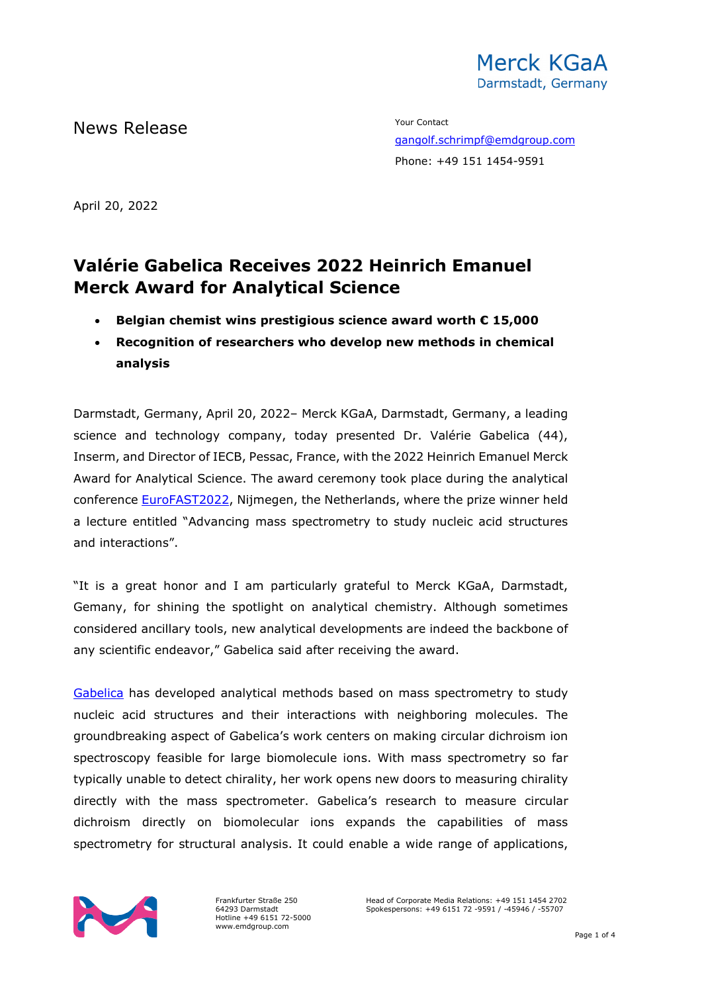

News Release The Contact Terms of the Mean of the Vour Contact

[gangolf.schrimpf@emdgroup.com](mailto:gangolf.schrimpf@emdgroup.com) Phone: +49 151 1454-9591

April 20, 2022

# **Valérie Gabelica Receives 2022 Heinrich Emanuel Merck Award for Analytical Science**

- **Belgian chemist wins prestigious science award worth € 15,000**
- **Recognition of researchers who develop new methods in chemical analysis**

Darmstadt, Germany, April 20, 2022– Merck KGaA, Darmstadt, Germany, a leading science and technology company, today presented Dr. Valérie Gabelica (44), Inserm, and Director of IECB, Pessac, France, with the 2022 Heinrich Emanuel Merck Award for Analytical Science. The award ceremony took place during the analytical conference [EuroFAST2022,](https://www.eurofast2022.eu/programme) Nijmegen, the Netherlands, where the prize winner held a lecture entitled "Advancing mass spectrometry to study nucleic acid structures and interactions".

"It is a great honor and I am particularly grateful to Merck KGaA, Darmstadt, Gemany, for shining the spotlight on analytical chemistry. Although sometimes considered ancillary tools, new analytical developments are indeed the backbone of any scientific endeavor," Gabelica said after receiving the award.

[Gabelica](https://gabelicagroup.wixsite.com/biophyms) has developed analytical methods based on mass spectrometry to study nucleic acid structures and their interactions with neighboring molecules. The groundbreaking aspect of Gabelica's work centers on making circular dichroism ion spectroscopy feasible for large biomolecule ions. With mass spectrometry so far typically unable to detect chirality, her work opens new doors to measuring chirality directly with the mass spectrometer. Gabelica's research to measure circular dichroism directly on biomolecular ions expands the capabilities of mass spectrometry for structural analysis. It could enable a wide range of applications,



Frankfurter Straße 250 64293 Darmstadt Hotline +49 6151 72-5000 www.emdgroup.com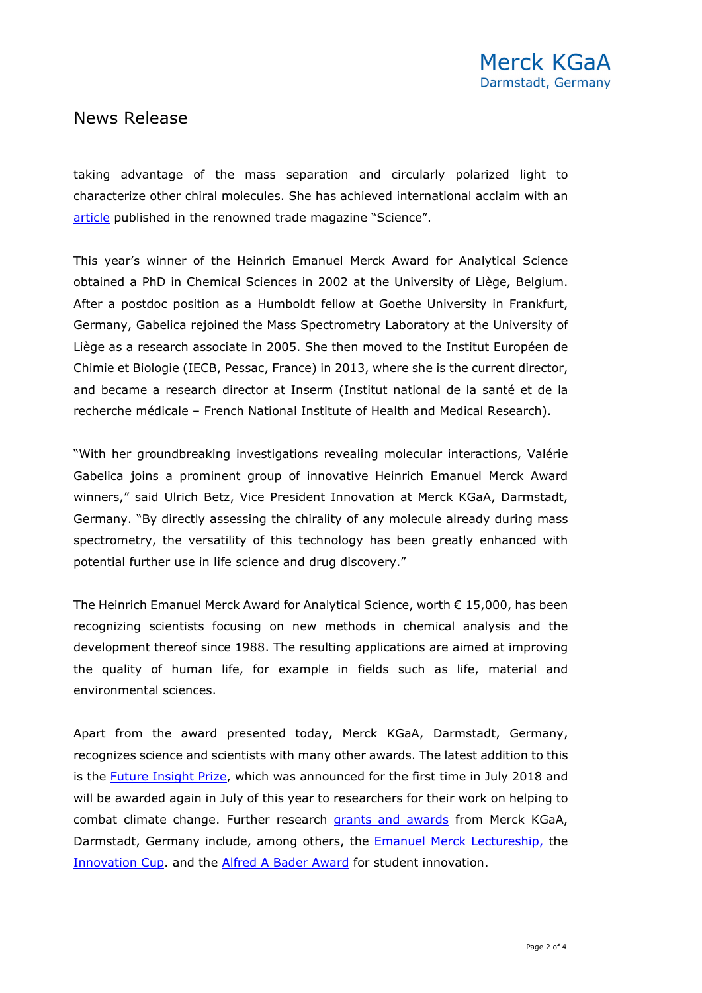## News Release

taking advantage of the mass separation and circularly polarized light to characterize other chiral molecules. She has achieved international acclaim with an [article](https://www.science.org/doi/10.1126/science.abb1822) published in the renowned trade magazine "Science".

This year's winner of the Heinrich Emanuel Merck Award for Analytical Science obtained a PhD in Chemical Sciences in 2002 at the University of Liège, Belgium. After a postdoc position as a Humboldt fellow at Goethe University in Frankfurt, Germany, Gabelica rejoined the Mass Spectrometry Laboratory at the University of Liège as a research associate in 2005. She then moved to the Institut Européen de Chimie et Biologie (IECB, Pessac, France) in 2013, where she is the current director, and became a research director at Inserm (Institut national de la santé et de la recherche médicale – French National Institute of Health and Medical Research).

"With her groundbreaking investigations revealing molecular interactions, Valérie Gabelica joins a prominent group of innovative Heinrich Emanuel Merck Award winners," said Ulrich Betz, Vice President Innovation at Merck KGaA, Darmstadt, Germany. "By directly assessing the chirality of any molecule already during mass spectrometry, the versatility of this technology has been greatly enhanced with potential further use in life science and drug discovery."

The Heinrich Emanuel Merck Award for Analytical Science, worth  $\epsilon$  15,000, has been recognizing scientists focusing on new methods in chemical analysis and the development thereof since 1988. The resulting applications are aimed at improving the quality of human life, for example in fields such as life, material and environmental sciences.

Apart from the award presented today, Merck KGaA, Darmstadt, Germany, recognizes science and scientists with many other awards. The latest addition to this is the [Future Insight Prize,](https://www.emdgroup.com/en/research/open-innovation/futureinsightprize_streaming.html) which was announced for the first time in July 2018 and will be awarded again in July of this year to researchers for their work on helping to combat climate change. Further research [grants and awards](https://www.emdgroup.com/en/research/grants-and-awards.html) from Merck KGaA, Darmstadt, Germany include, among others, the [Emanuel Merck Lectureship,](https://www.emdgroup.com/en/research/grants-and-awards/emanuel-merck-lectureship.html) the [Innovation Cup.](https://www.emdgroup.com/en/research/open-innovation/innovation-cup.html) and the [Alfred A Bader Award](https://www.emdgroup.com/en/research/grants-and-awards/alfred-r-bader-award-for-student-innovation.html) for student innovation.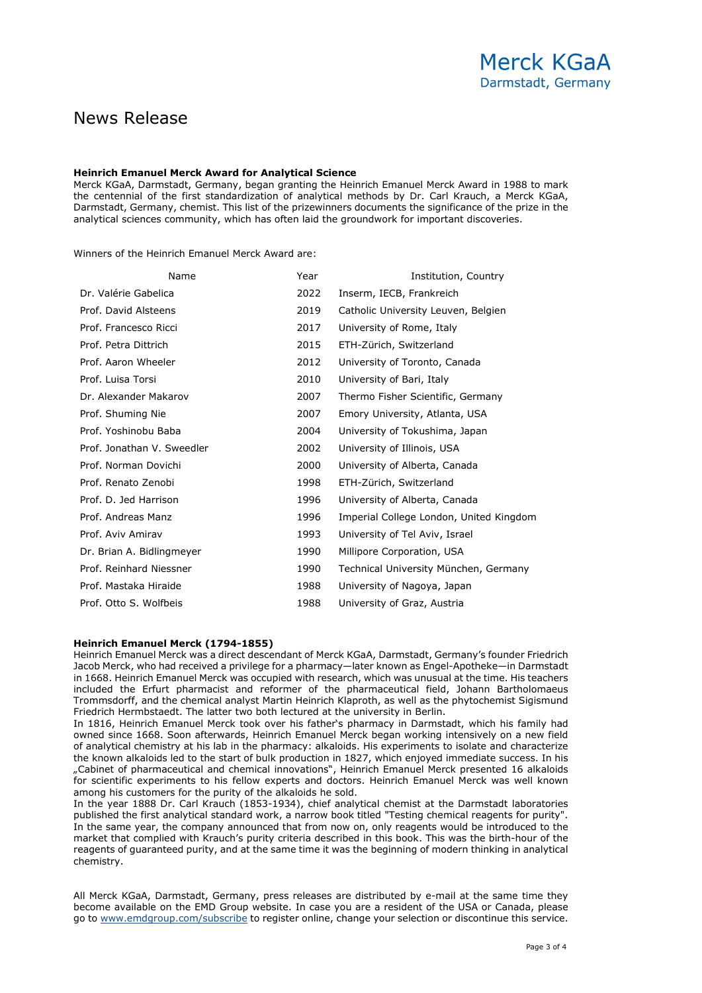## News Release

#### **Heinrich Emanuel Merck Award for Analytical Science**

Merck KGaA, Darmstadt, Germany, began granting the Heinrich Emanuel Merck Award in 1988 to mark the centennial of the first standardization of analytical methods by Dr. Carl Krauch, a Merck KGaA, Darmstadt, Germany, chemist. This list of the prizewinners documents the significance of the prize in the analytical sciences community, which has often laid the groundwork for important discoveries.

Winners of the Heinrich Emanuel Merck Award are:

| Name                       | Year | Institution, Country                    |
|----------------------------|------|-----------------------------------------|
| Dr. Valérie Gabelica       | 2022 | Inserm, IECB, Frankreich                |
| Prof. David Alsteens       | 2019 | Catholic University Leuven, Belgien     |
| Prof. Francesco Ricci      | 2017 | University of Rome, Italy               |
| Prof. Petra Dittrich       | 2015 | ETH-Zürich, Switzerland                 |
| Prof. Aaron Wheeler        | 2012 | University of Toronto, Canada           |
| Prof. Luisa Torsi          | 2010 | University of Bari, Italy               |
| Dr. Alexander Makarov      | 2007 | Thermo Fisher Scientific, Germany       |
| Prof. Shuming Nie          | 2007 | Emory University, Atlanta, USA          |
| Prof. Yoshinobu Baba       | 2004 | University of Tokushima, Japan          |
| Prof. Jonathan V. Sweedler | 2002 | University of Illinois, USA             |
| Prof. Norman Dovichi       | 2000 | University of Alberta, Canada           |
| Prof. Renato Zenobi        | 1998 | ETH-Zürich, Switzerland                 |
| Prof. D. Jed Harrison      | 1996 | University of Alberta, Canada           |
| Prof. Andreas Manz         | 1996 | Imperial College London, United Kingdom |
| Prof. Aviv Amirav          | 1993 | University of Tel Aviv, Israel          |
| Dr. Brian A. Bidlingmeyer  | 1990 | Millipore Corporation, USA              |
| Prof. Reinhard Niessner    | 1990 | Technical University München, Germany   |
| Prof. Mastaka Hiraide      | 1988 | University of Nagoya, Japan             |
| Prof. Otto S. Wolfbeis     | 1988 | University of Graz, Austria             |

#### **Heinrich Emanuel Merck (1794-1855)**

Heinrich Emanuel Merck was a direct descendant of Merck KGaA, Darmstadt, Germany's founder Friedrich Jacob Merck, who had received a privilege for a pharmacy—later known as Engel-Apotheke—in Darmstadt in 1668. Heinrich Emanuel Merck was occupied with research, which was unusual at the time. His teachers included the Erfurt pharmacist and reformer of the pharmaceutical field, Johann Bartholomaeus Trommsdorff, and the chemical analyst Martin Heinrich Klaproth, as well as the phytochemist Sigismund Friedrich Hermbstaedt. The latter two both lectured at the university in Berlin.

In 1816, Heinrich Emanuel Merck took over his father's pharmacy in Darmstadt, which his family had owned since 1668. Soon afterwards, Heinrich Emanuel Merck began working intensively on a new field of analytical chemistry at his lab in the pharmacy: alkaloids. His experiments to isolate and characterize the known alkaloids led to the start of bulk production in 1827, which enjoyed immediate success. In his "Cabinet of pharmaceutical and chemical innovations", Heinrich Emanuel Merck presented 16 alkaloids for scientific experiments to his fellow experts and doctors. Heinrich Emanuel Merck was well known among his customers for the purity of the alkaloids he sold.

In the year 1888 Dr. Carl Krauch (1853-1934), chief analytical chemist at the Darmstadt laboratories published the first analytical standard work, a narrow book titled "Testing chemical reagents for purity". In the same year, the company announced that from now on, only reagents would be introduced to the market that complied with Krauch's purity criteria described in this book. This was the birth-hour of the reagents of guaranteed purity, and at the same time it was the beginning of modern thinking in analytical chemistry.

All Merck KGaA, Darmstadt, Germany, press releases are distributed by e-mail at the same time they become available on the EMD Group website. In case you are a resident of the USA or Canada, please go to [www.emdgroup.com/subscribe](https://www.emdgroup.com/en/media-center/press-release-subscription.html) to register online, change your selection or discontinue this service.